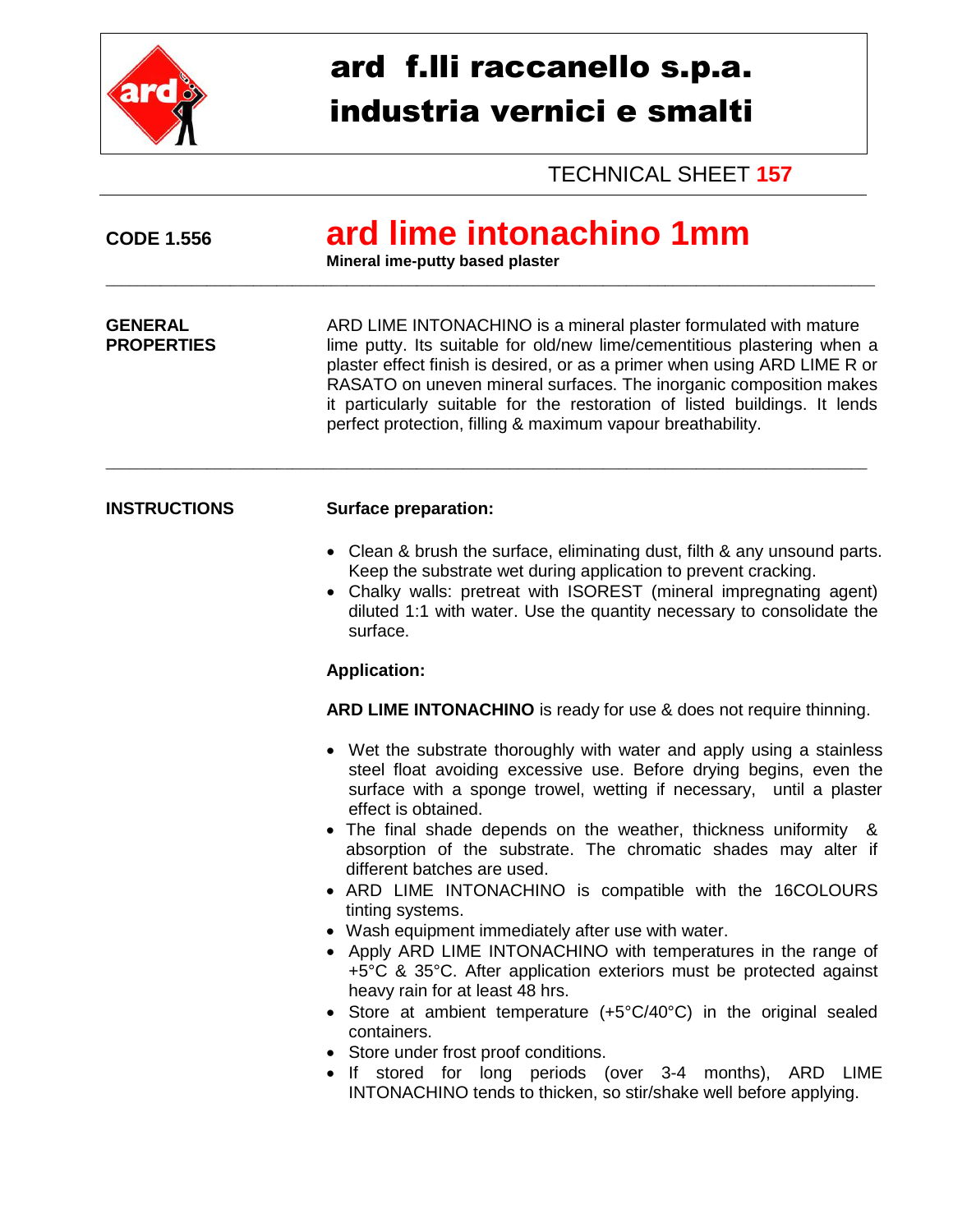

## ard f.lli raccanello s.p.a. industria vernici e smalti

TECHNICAL SHEET **157**

| <b>CODE 1.556</b>                   | ard lime intonachino 1mm<br>Mineral ime-putty based plaster                                                                                                                                                                                                                                                                                                                                                                                                                                                                                                                                                                                                                                                                                                                                                                                                                                                                                                                                  |
|-------------------------------------|----------------------------------------------------------------------------------------------------------------------------------------------------------------------------------------------------------------------------------------------------------------------------------------------------------------------------------------------------------------------------------------------------------------------------------------------------------------------------------------------------------------------------------------------------------------------------------------------------------------------------------------------------------------------------------------------------------------------------------------------------------------------------------------------------------------------------------------------------------------------------------------------------------------------------------------------------------------------------------------------|
| <b>GENERAL</b><br><b>PROPERTIES</b> | ARD LIME INTONACHINO is a mineral plaster formulated with mature<br>lime putty. Its suitable for old/new lime/cementitious plastering when a<br>plaster effect finish is desired, or as a primer when using ARD LIME R or<br>RASATO on uneven mineral surfaces. The inorganic composition makes<br>it particularly suitable for the restoration of listed buildings. It lends<br>perfect protection, filling & maximum vapour breathability.                                                                                                                                                                                                                                                                                                                                                                                                                                                                                                                                                 |
| <b>INSTRUCTIONS</b>                 | <b>Surface preparation:</b>                                                                                                                                                                                                                                                                                                                                                                                                                                                                                                                                                                                                                                                                                                                                                                                                                                                                                                                                                                  |
|                                     | • Clean & brush the surface, eliminating dust, filth & any unsound parts.<br>Keep the substrate wet during application to prevent cracking.<br>• Chalky walls: pretreat with ISOREST (mineral impregnating agent)<br>diluted 1:1 with water. Use the quantity necessary to consolidate the<br>surface.                                                                                                                                                                                                                                                                                                                                                                                                                                                                                                                                                                                                                                                                                       |
|                                     | <b>Application:</b>                                                                                                                                                                                                                                                                                                                                                                                                                                                                                                                                                                                                                                                                                                                                                                                                                                                                                                                                                                          |
|                                     | ARD LIME INTONACHINO is ready for use & does not require thinning.                                                                                                                                                                                                                                                                                                                                                                                                                                                                                                                                                                                                                                                                                                                                                                                                                                                                                                                           |
|                                     | • Wet the substrate thoroughly with water and apply using a stainless<br>steel float avoiding excessive use. Before drying begins, even the<br>surface with a sponge trowel, wetting if necessary, until a plaster<br>effect is obtained.<br>• The final shade depends on the weather, thickness uniformity &<br>absorption of the substrate. The chromatic shades may alter if<br>different batches are used.<br>• ARD LIME INTONACHINO is compatible with the 16COLOURS<br>tinting systems.<br>• Wash equipment immediately after use with water.<br>• Apply ARD LIME INTONACHINO with temperatures in the range of<br>+5°C & 35°C. After application exteriors must be protected against<br>heavy rain for at least 48 hrs.<br>• Store at ambient temperature (+5°C/40°C) in the original sealed<br>containers.<br>• Store under frost proof conditions.<br>• If stored for long periods (over 3-4 months), ARD LIME<br>INTONACHINO tends to thicken, so stir/shake well before applying. |